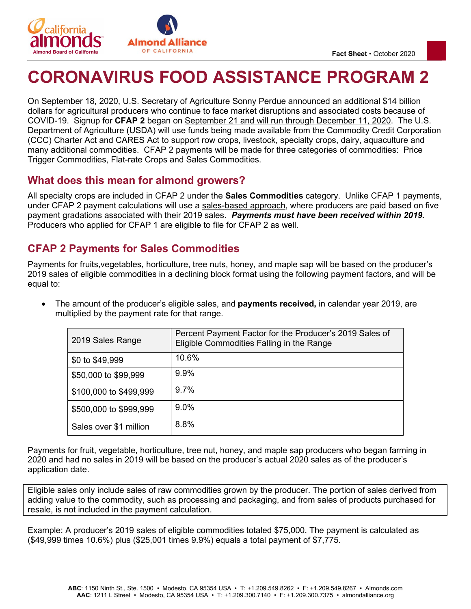

# **CORONAVIRUS FOOD ASSISTANCE PROGRAM 2**

On September 18, 2020, U.S. Secretary of Agriculture Sonny Perdue announced an additional \$14 billion dollars for agricultural producers who continue to face market disruptions and associated costs because of COVID-19. Signup for **CFAP 2** began on September 21 and will run through December 11, 2020. The U.S. Department of Agriculture (USDA) will use funds being made available from the Commodity Credit Corporation (CCC) Charter Act and CARES Act to support row crops, livestock, specialty crops, dairy, aquaculture and many additional commodities. CFAP 2 payments will be made for three categories of commodities: Price Trigger Commodities, Flat-rate Crops and Sales Commodities.

### **What does this mean for almond growers?**

All specialty crops are included in CFAP 2 under the **Sales Commodities** category. Unlike CFAP 1 payments, under CFAP 2 payment calculations will use a sales-based approach, where producers are paid based on five payment gradations associated with their 2019 sales. *Payments must have been received within 2019.* Producers who applied for CFAP 1 are eligible to file for CFAP 2 as well.

### **CFAP 2 Payments for Sales Commodities**

Payments for fruits,vegetables, horticulture, tree nuts, honey, and maple sap will be based on the producer's 2019 sales of eligible commodities in a declining block format using the following payment factors, and will be equal to:

• The amount of the producer's eligible sales, and **payments received,** in calendar year 2019, are multiplied by the payment rate for that range.

| 2019 Sales Range       | Percent Payment Factor for the Producer's 2019 Sales of<br>Eligible Commodities Falling in the Range |
|------------------------|------------------------------------------------------------------------------------------------------|
| \$0 to \$49,999        | 10.6%                                                                                                |
| \$50,000 to \$99,999   | 9.9%                                                                                                 |
| \$100,000 to \$499,999 | 97%                                                                                                  |
| \$500,000 to \$999,999 | $9.0\%$                                                                                              |
| Sales over \$1 million | 8.8%                                                                                                 |

Payments for fruit, vegetable, horticulture, tree nut, honey, and maple sap producers who began farming in 2020 and had no sales in 2019 will be based on the producer's actual 2020 sales as of the producer's application date.

Eligible sales only include sales of raw commodities grown by the producer. The portion of sales derived from adding value to the commodity, such as processing and packaging, and from sales of products purchased for resale, is not included in the payment calculation.

Example: A producer's 2019 sales of eligible commodities totaled \$75,000. The payment is calculated as (\$49,999 times 10.6%) plus (\$25,001 times 9.9%) equals a total payment of \$7,775.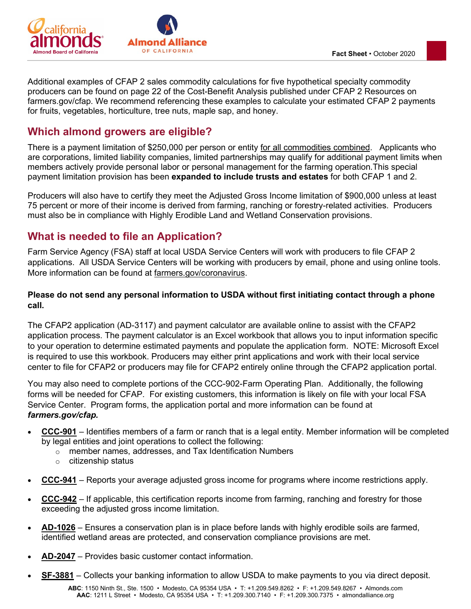

Additional examples of CFAP 2 sales commodity calculations for five hypothetical specialty commodity producers can be found on page 22 of the Cost-Benefit Analysis published under CFAP 2 Resources on farmers.gov/cfap. We recommend referencing these examples to calculate your estimated CFAP 2 payments for fruits, vegetables, horticulture, tree nuts, maple sap, and honey.

### **Which almond growers are eligible?**

There is a payment limitation of \$250,000 per person or entity for all commodities combined. Applicants who are corporations, limited liability companies, limited partnerships may qualify for additional payment limits when members actively provide personal labor or personal management for the farming operation.This special payment limitation provision has been **expanded to include trusts and estates** for both CFAP 1 and 2.

Producers will also have to certify they meet the Adjusted Gross Income limitation of \$900,000 unless at least 75 percent or more of their income is derived from farming, ranching or forestry-related activities. Producers must also be in compliance with Highly Erodible Land and Wetland Conservation provisions.

### **What is needed to file an Application?**

Farm Service Agency (FSA) staff at local USDA Service Centers will work with producers to file CFAP 2 applications. All USDA Service Centers will be working with producers by email, phone and using online tools. More information can be found at [farmers.gov/coronavirus.](https://www.farmers.gov/coronavirus)

### **Please do not send any personal information to USDA without first initiating contact through a phone call.**

The CFAP2 application (AD-3117) and payment calculator are available online to assist with the CFAP2 application process. The payment calculator is an Excel workbook that allows you to input information specific to your operation to determine estimated payments and populate the application form. NOTE: Microsoft Excel is required to use this workbook. Producers may either print applications and work with their local service center to file for CFAP2 or producers may file for CFAP2 entirely online through the CFAP2 application portal.

You may also need to complete portions of the CCC-902-Farm Operating Plan. Additionally, the following forms will be needed for CFAP. For existing customers, this information is likely on file with your local FSA Service Center. Program forms, the application portal and more information can be found at *farmers.gov/cfap.*

- **[CCC-901](about:blank)** Identifies members of a farm or ranch that is a legal entity. Member information will be completed by legal entities and joint operations to collect the following:
	- o member names, addresses, and Tax Identification Numbers
	- o citizenship status
- **[CCC-941](about:blank)** Reports your average adjusted gross income for programs where income restrictions apply.
- **[CCC-942](about:blank)** If applicable, this certification reports income from farming, ranching and forestry for those exceeding the adjusted gross income limitation.
- **[AD-1026](about:blank)** Ensures a conservation plan is in place before lands with highly erodible soils are farmed, identified wetland areas are protected, and conservation compliance provisions are met.
- **[AD-2047](about:blank)** Provides basic customer contact information.
- **[SF-3881](about:blank)** Collects your banking information to allow USDA to make payments to you via direct deposit.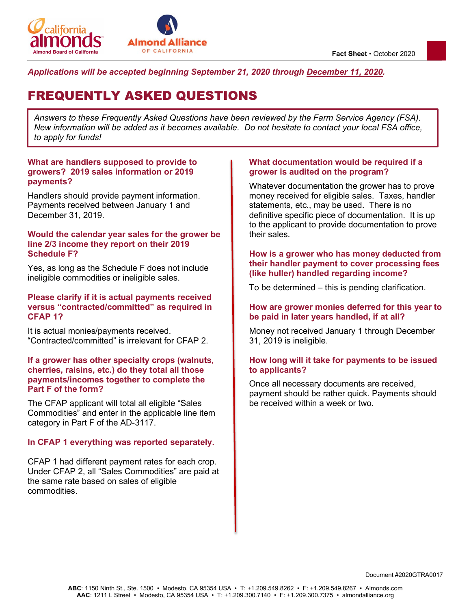

#### *Applications will be accepted beginning September 21, 2020 through December 11, 2020.*

## FREQUENTLY ASKED QUESTIONS

*Answers to these Frequently Asked Questions have been reviewed by the Farm Service Agency (FSA). New information will be added as it becomes available. Do not hesitate to contact your local FSA office, to apply for funds!* 

#### **What are handlers supposed to provide to growers? 2019 sales information or 2019 payments?**

Handlers should provide payment information. Payments received between January 1 and December 31, 2019.

#### **Would the calendar year sales for the grower be line 2/3 income they report on their 2019 Schedule F?**

Yes, as long as the Schedule F does not include ineligible commodities or ineligible sales.

#### **Please clarify if it is actual payments received versus "contracted/committed" as required in CFAP 1?**

It is actual monies/payments received. "Contracted/committed" is irrelevant for CFAP 2.

#### **If a grower has other specialty crops (walnuts, cherries, raisins, etc.) do they total all those payments/incomes together to complete the Part F of the form?**

The CFAP applicant will total all eligible "Sales Commodities" and enter in the applicable line item category in Part F of the AD-3117.

#### **In CFAP 1 everything was reported separately.**

CFAP 1 had different payment rates for each crop. Under CFAP 2, all "Sales Commodities" are paid at the same rate based on sales of eligible commodities.

#### **What documentation would be required if a grower is audited on the program?**

Whatever documentation the grower has to prove money received for eligible sales. Taxes, handler statements, etc., may be used. There is no definitive specific piece of documentation. It is up to the applicant to provide documentation to prove their sales.

#### **How is a grower who has money deducted from their handler payment to cover processing fees (like huller) handled regarding income?**

To be determined – this is pending clarification.

#### **How are grower monies deferred for this year to be paid in later years handled, if at all?**

Money not received January 1 through December 31, 2019 is ineligible.

#### **How long will it take for payments to be issued to applicants?**

Once all necessary documents are received, payment should be rather quick. Payments should be received within a week or two.

Document #2020GTRA0017